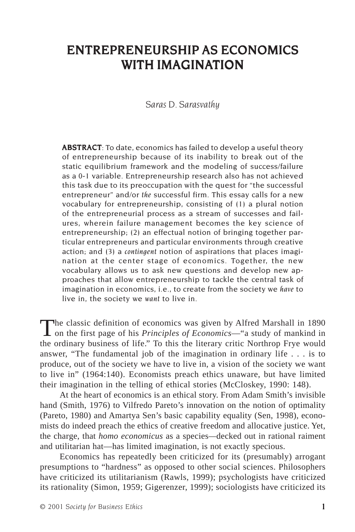# ENTREPRENEURSHIP AS ECONOMICS WITH IMAGINATION

#### *Saras D. Sarasvathy*

ABSTRACT: To date, economics has failed to develop a useful theory of entrepreneurship because of its inability to break out of the static equilibrium framework and the modeling of success/failure as a 0-1 variable. Entrepreneurship research also has not achieved this task due to its preoccupation with the quest for "the successful entrepreneur" and/or *the* successful firm. This essay calls for a new vocabulary for entrepreneurship, consisting of (1) a plural notion of the entrepreneurial process as a stream of successes and failures, wherein failure management becomes the key science of entrepreneurship; (2) an effectual notion of bringing together particular entrepreneurs and particular environments through creative action; and (3) a *contingent* notion of aspirations that places imagination at the center stage of economics. Together, the new vocabulary allows us to ask new questions and develop new approaches that allow entrepreneurship to tackle the central task of imagination in economics, i.e., to create from the society we *have* to live in, the society we *want* to live in.

The classic definition of economics was given by Alfred Marshall in 1890 on the first page of his *Principles of Economics*—"a study of mankind in the ordinary business of life." To this the literary critic Northrop Frye would answer, "The fundamental job of the imagination in ordinary life . . . is to produce, out of the society we have to live in, a vision of the society we want to live in" (1964:140). Economists preach ethics unaware, but have limited their imagination in the telling of ethical stories (McCloskey, 1990: 148).

At the heart of economics is an ethical story. From Adam Smith's invisible hand (Smith, 1976) to Vilfredo Pareto's innovation on the notion of optimality (Pareto, 1980) and Amartya Sen's basic capability equality (Sen, 1998), economists do indeed preach the ethics of creative freedom and allocative justice. Yet, the charge, that *homo economicus* as a species*—*decked out in rational raiment and utilitarian hat—has limited imagination, is not exactly specious.

Economics has repeatedly been criticized for its (presumably) arrogant presumptions to "hardness" as opposed to other social sciences. Philosophers have criticized its utilitarianism (Rawls, 1999); psychologists have criticized its rationality (Simon, 1959; Gigerenzer, 1999); sociologists have criticized its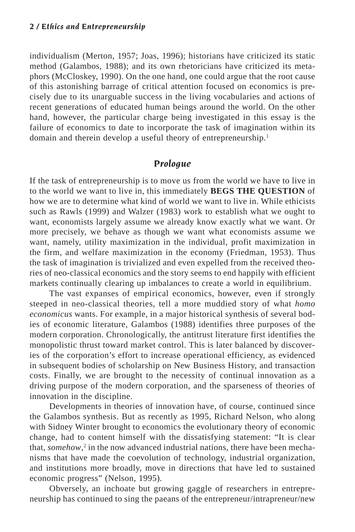individualism (Merton, 1957; Joas, 1996); historians have criticized its static method (Galambos, 1988); and its own rhetoricians have criticized its metaphors (McCloskey, 1990). On the one hand, one could argue that the root cause of this astonishing barrage of critical attention focused on economics is precisely due to its unarguable success in the living vocabularies and actions of recent generations of educated human beings around the world. On the other hand, however, the particular charge being investigated in this essay is the failure of economics to date to incorporate the task of imagination within its domain and therein develop a useful theory of entrepreneurship.<sup>1</sup>

### *Prologue*

If the task of entrepreneurship is to move us from the world we have to live in to the world we want to live in, this immediately **BEGS THE QUESTION** of how we are to determine what kind of world we want to live in. While ethicists such as Rawls (1999) and Walzer (1983) work to establish what we ought to want, economists largely assume we already know exactly what we want. Or more precisely, we behave as though we want what economists assume we want, namely, utility maximization in the individual, profit maximization in the firm, and welfare maximization in the economy (Friedman, 1953). Thus the task of imagination is trivialized and even expelled from the received theories of neo-classical economics and the story seems to end happily with efficient markets continually clearing up imbalances to create a world in equilibrium.

The vast expanses of empirical economics, however, even if strongly steeped in neo-classical theories, tell a more muddied story of what *homo economicus* wants. For example, in a major historical synthesis of several bodies of economic literature, Galambos (1988) identifies three purposes of the modern corporation. Chronologically, the antitrust literature first identifies the monopolistic thrust toward market control. This is later balanced by discoveries of the corporation's effort to increase operational efficiency, as evidenced in subsequent bodies of scholarship on New Business History, and transaction costs. Finally, we are brought to the necessity of continual innovation as a driving purpose of the modern corporation, and the sparseness of theories of innovation in the discipline.

Developments in theories of innovation have, of course, continued since the Galambos synthesis. But as recently as 1995, Richard Nelson, who along with Sidney Winter brought to economics the evolutionary theory of economic change, had to content himself with the dissatisfying statement: "It is clear that, *somehow*,<sup>2</sup> in the now advanced industrial nations, there have been mechanisms that have made the coevolution of technology, industrial organization, and institutions more broadly, move in directions that have led to sustained economic progress" (Nelson, 1995)*.*

Obversely, an inchoate but growing gaggle of researchers in entrepreneurship has continued to sing the paeans of the entrepreneur/intrapreneur/new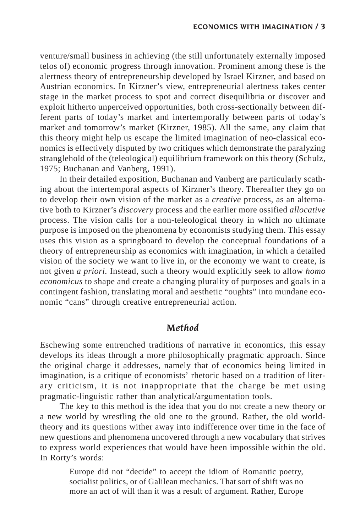venture/small business in achieving (the still unfortunately externally imposed telos of) economic progress through innovation. Prominent among these is the alertness theory of entrepreneurship developed by Israel Kirzner, and based on Austrian economics. In Kirzner's view, entrepreneurial alertness takes center stage in the market process to spot and correct disequilibria or discover and exploit hitherto unperceived opportunities, both cross-sectionally between different parts of today's market and intertemporally between parts of today's market and tomorrow's market (Kirzner, 1985). All the same, any claim that this theory might help us escape the limited imagination of neo-classical economics is effectively disputed by two critiques which demonstrate the paralyzing stranglehold of the (teleological) equilibrium framework on this theory (Schulz, 1975; Buchanan and Vanberg, 1991).

In their detailed exposition, Buchanan and Vanberg are particularly scathing about the intertemporal aspects of Kirzner's theory. Thereafter they go on to develop their own vision of the market as a *creative* process, as an alternative both to Kirzner's *discovery* process and the earlier more ossified *allocative* process. The vision calls for a non-teleological theory in which no ultimate purpose is imposed on the phenomena by economists studying them. This essay uses this vision as a springboard to develop the conceptual foundations of a theory of entrepreneurship as economics with imagination, in which a detailed vision of the society we want to live in, or the economy we want to create, is not given *a priori.* Instead, such a theory would explicitly seek to allow *homo economicus* to shape and create a changing plurality of purposes and goals in a contingent fashion, translating moral and aesthetic "oughts" into mundane economic "cans" through creative entrepreneurial action.

### *Method*

Eschewing some entrenched traditions of narrative in economics, this essay develops its ideas through a more philosophically pragmatic approach. Since the original charge it addresses, namely that of economics being limited in imagination, is a critique of economists' rhetoric based on a tradition of literary criticism, it is not inappropriate that the charge be met using pragmatic-linguistic rather than analytical/argumentation tools.

The key to this method is the idea that you do not create a new theory or a new world by wrestling the old one to the ground. Rather, the old worldtheory and its questions wither away into indifference over time in the face of new questions and phenomena uncovered through a new vocabulary that strives to express world experiences that would have been impossible within the old. In Rorty's words:

> Europe did not "decide" to accept the idiom of Romantic poetry, socialist politics, or of Galilean mechanics. That sort of shift was no more an act of will than it was a result of argument. Rather, Europe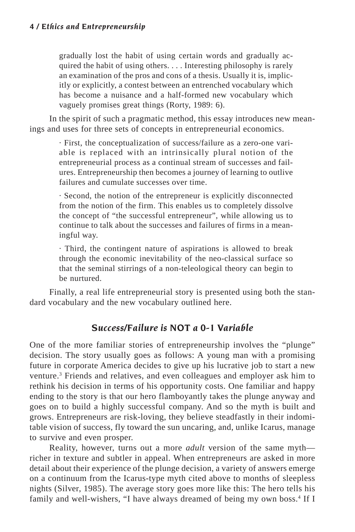gradually lost the habit of using certain words and gradually acquired the habit of using others. . . . Interesting philosophy is rarely an examination of the pros and cons of a thesis. Usually it is, implicitly or explicitly, a contest between an entrenched vocabulary which has become a nuisance and a half-formed new vocabulary which vaguely promises great things (Rorty, 1989: 6).

In the spirit of such a pragmatic method, this essay introduces new meanings and uses for three sets of concepts in entrepreneurial economics.

> · First, the conceptualization of success/failure as a zero-one variable is replaced with an intrinsically plural notion of the entrepreneurial process as a continual stream of successes and failures. Entrepreneurship then becomes a journey of learning to outlive failures and cumulate successes over time.

> · Second, the notion of the entrepreneur is explicitly disconnected from the notion of the firm. This enables us to completely dissolve the concept of "the successful entrepreneur", while allowing us to continue to talk about the successes and failures of firms in a meaningful way.

> · Third, the contingent nature of aspirations is allowed to break through the economic inevitability of the neo-classical surface so that the seminal stirrings of a non-teleological theory can begin to be nurtured.

Finally, a real life entrepreneurial story is presented using both the standard vocabulary and the new vocabulary outlined here.

### *Success/Failure is NOT a 0-1 Variable*

One of the more familiar stories of entrepreneurship involves the "plunge" decision. The story usually goes as follows: A young man with a promising future in corporate America decides to give up his lucrative job to start a new venture.3 Friends and relatives, and even colleagues and employer ask him to rethink his decision in terms of his opportunity costs. One familiar and happy ending to the story is that our hero flamboyantly takes the plunge anyway and goes on to build a highly successful company. And so the myth is built and grows. Entrepreneurs are risk-loving, they believe steadfastly in their indomitable vision of success, fly toward the sun uncaring, and, unlike Icarus, manage to survive and even prosper.

Reality, however, turns out a more *adult* version of the same myth richer in texture and subtler in appeal. When entrepreneurs are asked in more detail about their experience of the plunge decision, a variety of answers emerge on a continuum from the Icarus-type myth cited above to months of sleepless nights (Silver, 1985). The average story goes more like this: The hero tells his family and well-wishers, "I have always dreamed of being my own boss.<sup>4</sup> If I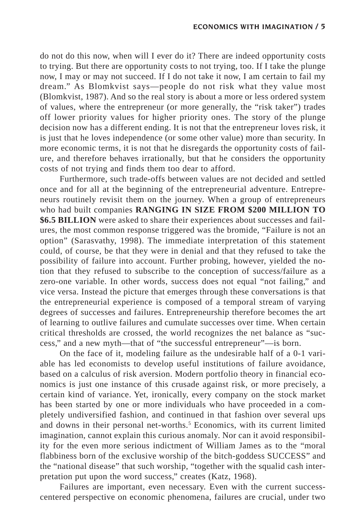do not do this now, when will I ever do it? There are indeed opportunity costs to trying. But there are opportunity costs to not trying, too. If I take the plunge now, I may or may not succeed. If I do not take it now, I am certain to fail my dream." As Blomkvist says—people do not risk what they value most (Blomkvist, 1987). And so the real story is about a more or less ordered system of values, where the entrepreneur (or more generally, the "risk taker") trades off lower priority values for higher priority ones. The story of the plunge decision now has a different ending. It is not that the entrepreneur loves risk, it is just that he loves independence (or some other value) more than security. In more economic terms, it is not that he disregards the opportunity costs of failure, and therefore behaves irrationally, but that he considers the opportunity costs of not trying and finds them too dear to afford.

Furthermore, such trade-offs between values are not decided and settled once and for all at the beginning of the entrepreneurial adventure. Entrepreneurs routinely revisit them on the journey. When a group of entrepreneurs who had built companies **RANGING IN SIZE FROM \$200 MILLION TO \$6.5 BILLION** were asked to share their experiences about successes and failures, the most common response triggered was the bromide, "Failure is not an option" (Sarasvathy, 1998). The immediate interpretation of this statement could, of course, be that they were in denial and that they refused to take the possibility of failure into account. Further probing, however, yielded the notion that they refused to subscribe to the conception of success/failure as a zero-one variable. In other words, success does not equal "not failing," and vice versa. Instead the picture that emerges through these conversations is that the entrepreneurial experience is composed of a temporal stream of varying degrees of successes and failures. Entrepreneurship therefore becomes the art of learning to outlive failures and cumulate successes over time. When certain critical thresholds are crossed, the world recognizes the net balance as "success," and a new myth—that of "the successful entrepreneur"—is born.

On the face of it, modeling failure as the undesirable half of a 0-1 variable has led economists to develop useful institutions of failure avoidance, based on a calculus of risk aversion. Modern portfolio theory in financial economics is just one instance of this crusade against risk, or more precisely, a certain kind of variance. Yet, ironically, every company on the stock market has been started by one or more individuals who have proceeded in a completely undiversified fashion, and continued in that fashion over several ups and downs in their personal net-worths.<sup>5</sup> Economics, with its current limited imagination, cannot explain this curious anomaly. Nor can it avoid responsibility for the even more serious indictment of William James as to the "moral flabbiness born of the exclusive worship of the bitch-goddess SUCCESS" and the "national disease" that such worship, "together with the squalid cash interpretation put upon the word success," creates (Katz, 1968).

Failures are important, even necessary. Even with the current successcentered perspective on economic phenomena, failures are crucial, under two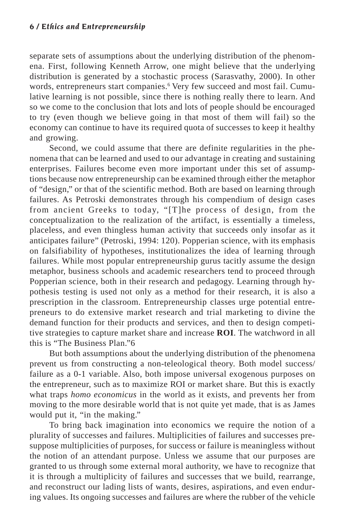separate sets of assumptions about the underlying distribution of the phenomena. First, following Kenneth Arrow, one might believe that the underlying distribution is generated by a stochastic process (Sarasvathy, 2000). In other words, entrepreneurs start companies.<sup>6</sup> Very few succeed and most fail. Cumulative learning is not possible, since there is nothing really there to learn. And so we come to the conclusion that lots and lots of people should be encouraged to try (even though we believe going in that most of them will fail) so the economy can continue to have its required quota of successes to keep it healthy and growing.

Second, we could assume that there are definite regularities in the phenomena that can be learned and used to our advantage in creating and sustaining enterprises. Failures become even more important under this set of assumptions because now entrepreneurship can be examined through either the metaphor of "design," or that of the scientific method. Both are based on learning through failures. As Petroski demonstrates through his compendium of design cases from ancient Greeks to today, "[T]he process of design, from the conceptualization to the realization of the artifact, is essentially a timeless, placeless, and even thingless human activity that succeeds only insofar as it anticipates failure" (Petroski, 1994: 120). Popperian science, with its emphasis on falsifiability of hypotheses, institutionalizes the idea of learning through failures. While most popular entrepreneurship gurus tacitly assume the design metaphor, business schools and academic researchers tend to proceed through Popperian science, both in their research and pedagogy. Learning through hypothesis testing is used not only as a method for their research, it is also a prescription in the classroom. Entrepreneurship classes urge potential entrepreneurs to do extensive market research and trial marketing to divine the demand function for their products and services, and then to design competitive strategies to capture market share and increase **ROI**. The watchword in all this is "The Business Plan."6

But both assumptions about the underlying distribution of the phenomena prevent us from constructing a non-teleological theory. Both model success/ failure as a 0-1 variable. Also, both impose universal exogenous purposes on the entrepreneur, such as to maximize ROI or market share. But this is exactly what traps *homo economicus* in the world as it exists, and prevents her from moving to the more desirable world that is not quite yet made, that is as James would put it, "in the making."

To bring back imagination into economics we require the notion of a plurality of successes and failures. Multiplicities of failures and successes presuppose multiplicities of purposes, for success or failure is meaningless without the notion of an attendant purpose. Unless we assume that our purposes are granted to us through some external moral authority, we have to recognize that it is through a multiplicity of failures and successes that we build, rearrange, and reconstruct our lading lists of wants, desires, aspirations, and even enduring values. Its ongoing successes and failures are where the rubber of the vehicle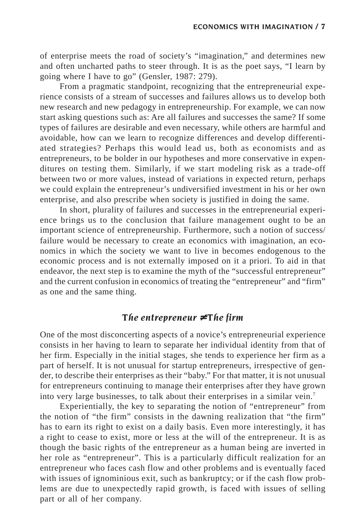of enterprise meets the road of society's "imagination," and determines new and often uncharted paths to steer through. It is as the poet says, "I learn by going where I have to go" (Gensler, 1987: 279).

From a pragmatic standpoint, recognizing that the entrepreneurial experience consists of a stream of successes and failures allows us to develop both new research and new pedagogy in entrepreneurship. For example, we can now start asking questions such as: Are all failures and successes the same? If some types of failures are desirable and even necessary, while others are harmful and avoidable, how can we learn to recognize differences and develop differentiated strategies? Perhaps this would lead us, both as economists and as entrepreneurs, to be bolder in our hypotheses and more conservative in expenditures on testing them. Similarly, if we start modeling risk as a trade-off between two or more values, instead of variations in expected return, perhaps we could explain the entrepreneur's undiversified investment in his or her own enterprise, and also prescribe when society is justified in doing the same.

In short, plurality of failures and successes in the entrepreneurial experience brings us to the conclusion that failure management ought to be an important science of entrepreneurship. Furthermore, such a notion of success/ failure would be necessary to create an economics with imagination, an economics in which the society we want to live in becomes endogenous to the economic process and is not externally imposed on it a priori. To aid in that endeavor, the next step is to examine the myth of the "successful entrepreneur" and the current confusion in economics of treating the "entrepreneur" and "firm" as one and the same thing.

## *The entrepreneur* ≠ *The firm*

One of the most disconcerting aspects of a novice's entrepreneurial experience consists in her having to learn to separate her individual identity from that of her firm. Especially in the initial stages, she tends to experience her firm as a part of herself. It is not unusual for startup entrepreneurs, irrespective of gender, to describe their enterprises as their "baby." For that matter, it is not unusual for entrepreneurs continuing to manage their enterprises after they have grown into very large businesses, to talk about their enterprises in a similar vein.7

Experientially, the key to separating the notion of "entrepreneur" from the notion of "the firm" consists in the dawning realization that "the firm" has to earn its right to exist on a daily basis. Even more interestingly, it has a right to cease to exist, more or less at the will of the entrepreneur. It is as though the basic rights of the entrepreneur as a human being are inverted in her role as "entrepreneur". This is a particularly difficult realization for an entrepreneur who faces cash flow and other problems and is eventually faced with issues of ignominious exit, such as bankruptcy; or if the cash flow problems are due to unexpectedly rapid growth, is faced with issues of selling part or all of her company.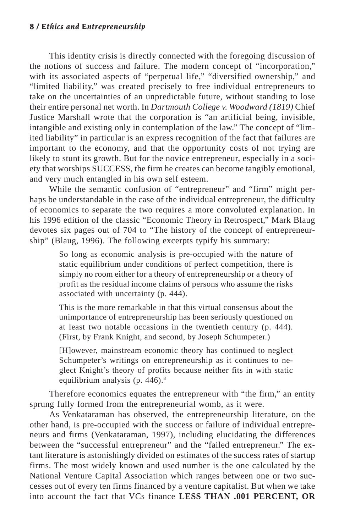This identity crisis is directly connected with the foregoing discussion of the notions of success and failure. The modern concept of "incorporation," with its associated aspects of "perpetual life," "diversified ownership," and "limited liability," was created precisely to free individual entrepreneurs to take on the uncertainties of an unpredictable future, without standing to lose their entire personal net worth. In *Dartmouth College v. Woodward (1819)* Chief Justice Marshall wrote that the corporation is "an artificial being, invisible, intangible and existing only in contemplation of the law." The concept of "limited liability" in particular is an express recognition of the fact that failures are important to the economy, and that the opportunity costs of not trying are likely to stunt its growth. But for the novice entrepreneur, especially in a society that worships SUCCESS, the firm he creates can become tangibly emotional, and very much entangled in his own self esteem.

While the semantic confusion of "entrepreneur" and "firm" might perhaps be understandable in the case of the individual entrepreneur, the difficulty of economics to separate the two requires a more convoluted explanation. In his 1996 edition of the classic "Economic Theory in Retrospect," Mark Blaug devotes six pages out of 704 to "The history of the concept of entrepreneurship" (Blaug, 1996). The following excerpts typify his summary:

> So long as economic analysis is pre-occupied with the nature of static equilibrium under conditions of perfect competition, there is simply no room either for a theory of entrepreneurship or a theory of profit as the residual income claims of persons who assume the risks associated with uncertainty (p. 444).

> This is the more remarkable in that this virtual consensus about the unimportance of entrepreneurship has been seriously questioned on at least two notable occasions in the twentieth century (p. 444). (First, by Frank Knight, and second, by Joseph Schumpeter.)

> [H]owever, mainstream economic theory has continued to neglect Schumpeter's writings on entrepreneurship as it continues to neglect Knight's theory of profits because neither fits in with static equilibrium analysis (p.  $446$ ).<sup>8</sup>

Therefore economics equates the entrepreneur with "the firm," an entity sprung fully formed from the entrepreneurial womb, as it were.

As Venkataraman has observed, the entrepreneurship literature, on the other hand, is pre-occupied with the success or failure of individual entrepreneurs and firms (Venkataraman, 1997), including elucidating the differences between the "successful entrepreneur" and the "failed entrepreneur." The extant literature is astonishingly divided on estimates of the success rates of startup firms. The most widely known and used number is the one calculated by the National Venture Capital Association which ranges between one or two successes out of every ten firms financed by a venture capitalist. But when we take into account the fact that VCs finance **LESS THAN .001 PERCENT, OR**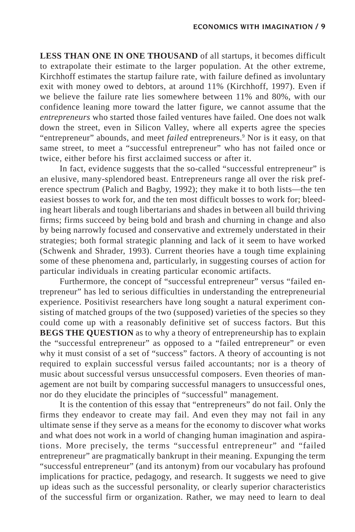**LESS THAN ONE IN ONE THOUSAND** of all startups, it becomes difficult to extrapolate their estimate to the larger population. At the other extreme, Kirchhoff estimates the startup failure rate, with failure defined as involuntary exit with money owed to debtors, at around 11% (Kirchhoff, 1997). Even if we believe the failure rate lies somewhere between 11% and 80%, with our confidence leaning more toward the latter figure, we cannot assume that the *entrepreneurs* who started those failed ventures have failed. One does not walk down the street, even in Silicon Valley, where all experts agree the species "entrepreneur" abounds, and meet *failed* entrepreneurs.<sup>9</sup> Nor is it easy, on that same street, to meet a "successful entrepreneur" who has not failed once or twice, either before his first acclaimed success or after it.

In fact, evidence suggests that the so-called "successful entrepreneur" is an elusive, many-splendored beast. Entrepreneurs range all over the risk preference spectrum (Palich and Bagby, 1992); they make it to both lists—the ten easiest bosses to work for, and the ten most difficult bosses to work for; bleeding heart liberals and tough libertarians and shades in between all build thriving firms; firms succeed by being bold and brash and churning in change and also by being narrowly focused and conservative and extremely understated in their strategies; both formal strategic planning and lack of it seem to have worked (Schwenk and Shrader, 1993). Current theories have a tough time explaining some of these phenomena and, particularly, in suggesting courses of action for particular individuals in creating particular economic artifacts.

Furthermore, the concept of "successful entrepreneur" versus "failed entrepreneur" has led to serious difficulties in understanding the entrepreneurial experience. Positivist researchers have long sought a natural experiment consisting of matched groups of the two (supposed) varieties of the species so they could come up with a reasonably definitive set of success factors. But this **BEGS THE QUESTION** as to why a theory of entrepreneurship has to explain the "successful entrepreneur" as opposed to a "failed entrepreneur" or even why it must consist of a set of "success" factors. A theory of accounting is not required to explain successful versus failed accountants; nor is a theory of music about successful versus unsuccessful composers. Even theories of management are not built by comparing successful managers to unsuccessful ones, nor do they elucidate the principles of "successful" management.

It is the contention of this essay that "entrepreneurs" do not fail. Only the firms they endeavor to create may fail. And even they may not fail in any ultimate sense if they serve as a means for the economy to discover what works and what does not work in a world of changing human imagination and aspirations. More precisely, the terms "successful entrepreneur" and "failed entrepreneur" are pragmatically bankrupt in their meaning. Expunging the term "successful entrepreneur" (and its antonym) from our vocabulary has profound implications for practice, pedagogy, and research. It suggests we need to give up ideas such as the successful personality, or clearly superior characteristics of the successful firm or organization. Rather, we may need to learn to deal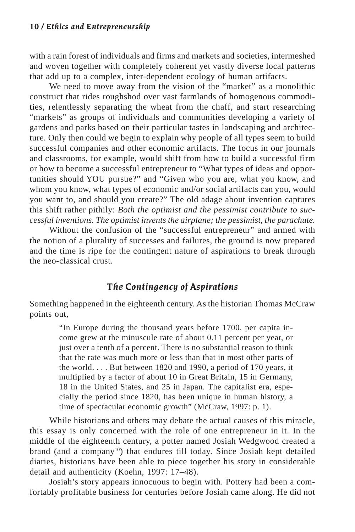with a rain forest of individuals and firms and markets and societies, intermeshed and woven together with completely coherent yet vastly diverse local patterns that add up to a complex, inter-dependent ecology of human artifacts.

We need to move away from the vision of the "market" as a monolithic construct that rides roughshod over vast farmlands of homogenous commodities, relentlessly separating the wheat from the chaff, and start researching "markets" as groups of individuals and communities developing a variety of gardens and parks based on their particular tastes in landscaping and architecture. Only then could we begin to explain why people of all types seem to build successful companies and other economic artifacts. The focus in our journals and classrooms, for example, would shift from how to build a successful firm or how to become a successful entrepreneur to "What types of ideas and opportunities should YOU pursue?" and "Given who you are, what you know, and whom you know, what types of economic and/or social artifacts can you, would you want to, and should you create?" The old adage about invention captures this shift rather pithily: *Both the optimist and the pessimist contribute to successful inventions. The optimist invents the airplane; the pessimist, the parachute.*

Without the confusion of the "successful entrepreneur" and armed with the notion of a plurality of successes and failures, the ground is now prepared and the time is ripe for the contingent nature of aspirations to break through the neo-classical crust.

# *The Contingency of Aspirations*

Something happened in the eighteenth century. As the historian Thomas McCraw points out,

> "In Europe during the thousand years before 1700, per capita income grew at the minuscule rate of about 0.11 percent per year, or just over a tenth of a percent. There is no substantial reason to think that the rate was much more or less than that in most other parts of the world. . . . But between 1820 and 1990, a period of 170 years, it multiplied by a factor of about 10 in Great Britain, 15 in Germany, 18 in the United States, and 25 in Japan. The capitalist era, especially the period since 1820, has been unique in human history, a time of spectacular economic growth" (McCraw, 1997: p. 1).

While historians and others may debate the actual causes of this miracle, this essay is only concerned with the role of one entrepreneur in it. In the middle of the eighteenth century, a potter named Josiah Wedgwood created a brand (and a company<sup>10</sup>) that endures till today. Since Josiah kept detailed diaries, historians have been able to piece together his story in considerable detail and authenticity (Koehn, 1997: 17–48).

Josiah's story appears innocuous to begin with. Pottery had been a comfortably profitable business for centuries before Josiah came along. He did not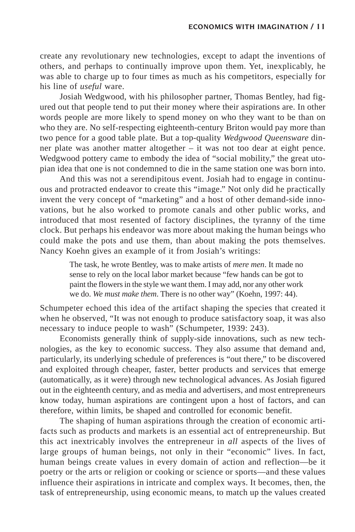create any revolutionary new technologies, except to adapt the inventions of others, and perhaps to continually improve upon them. Yet, inexplicably, he was able to charge up to four times as much as his competitors, especially for his line of *useful* ware.

Josiah Wedgwood, with his philosopher partner, Thomas Bentley, had figured out that people tend to put their money where their aspirations are. In other words people are more likely to spend money on who they want to be than on who they are. No self-respecting eighteenth-century Briton would pay more than two pence for a good table plate. But a top-quality *Wedgwood Queensware* dinner plate was another matter altogether – it was not too dear at eight pence. Wedgwood pottery came to embody the idea of "social mobility," the great utopian idea that one is not condemned to die in the same station one was born into.

And this was not a serendipitous event. Josiah had to engage in continuous and protracted endeavor to create this "image." Not only did he practically invent the very concept of "marketing" and a host of other demand-side innovations, but he also worked to promote canals and other public works, and introduced that most resented of factory disciplines, the tyranny of the time clock. But perhaps his endeavor was more about making the human beings who could make the pots and use them, than about making the pots themselves. Nancy Koehn gives an example of it from Josiah's writings:

> The task, he wrote Bentley, was to make artists of *mere men*. It made no sense to rely on the local labor market because "few hands can be got to paint the flowers in the style we want them. I may add, nor any other work we do. *We must make them*. There is no other way" (Koehn, 1997: 44).

Schumpeter echoed this idea of the artifact shaping the species that created it when he observed, "It was not enough to produce satisfactory soap, it was also necessary to induce people to wash" (Schumpeter, 1939: 243).

Economists generally think of supply-side innovations, such as new technologies, as the key to economic success. They also assume that demand and, particularly, its underlying schedule of preferences is "out there," to be discovered and exploited through cheaper, faster, better products and services that emerge (automatically, as it were) through new technological advances. As Josiah figured out in the eighteenth century, and as media and advertisers, and most entrepreneurs know today, human aspirations are contingent upon a host of factors, and can therefore, within limits, be shaped and controlled for economic benefit.

The shaping of human aspirations through the creation of economic artifacts such as products and markets is an essential act of entrepreneurship. But this act inextricably involves the entrepreneur in *all* aspects of the lives of large groups of human beings, not only in their "economic" lives. In fact, human beings create values in every domain of action and reflection—be it poetry or the arts or religion or cooking or science or sports—and these values influence their aspirations in intricate and complex ways. It becomes, then, the task of entrepreneurship, using economic means, to match up the values created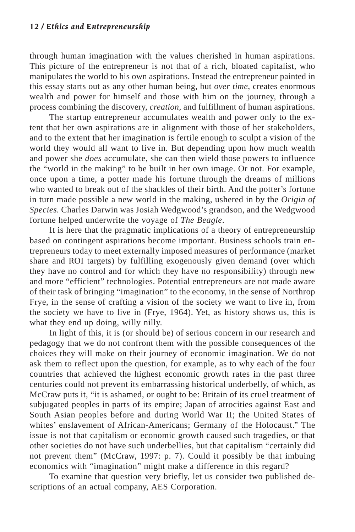through human imagination with the values cherished in human aspirations. This picture of the entrepreneur is not that of a rich, bloated capitalist, who manipulates the world to his own aspirations. Instead the entrepreneur painted in this essay starts out as any other human being, but *over time*, creates enormous wealth and power for himself and those with him on the journey, through a process combining the discovery, *creation,* and fulfillment of human aspirations.

The startup entrepreneur accumulates wealth and power only to the extent that her own aspirations are in alignment with those of her stakeholders, and to the extent that her imagination is fertile enough to sculpt a vision of the world they would all want to live in. But depending upon how much wealth and power she *does* accumulate, she can then wield those powers to influence the "world in the making" to be built in her own image. Or not. For example, once upon a time, a potter made his fortune through the dreams of millions who wanted to break out of the shackles of their birth. And the potter's fortune in turn made possible a new world in the making, ushered in by the *Origin of Species.* Charles Darwin was Josiah Wedgwood's grandson, and the Wedgwood fortune helped underwrite the voyage of *The Beagle*.

It is here that the pragmatic implications of a theory of entrepreneurship based on contingent aspirations become important. Business schools train entrepreneurs today to meet externally imposed measures of performance (market share and ROI targets) by fulfilling exogenously given demand (over which they have no control and for which they have no responsibility) through new and more "efficient" technologies. Potential entrepreneurs are not made aware of their task of bringing "imagination" to the economy, in the sense of Northrop Frye, in the sense of crafting a vision of the society we want to live in, from the society we have to live in (Frye, 1964). Yet, as history shows us, this is what they end up doing, willy nilly.

In light of this, it is (or should be) of serious concern in our research and pedagogy that we do not confront them with the possible consequences of the choices they will make on their journey of economic imagination. We do not ask them to reflect upon the question, for example, as to why each of the four countries that achieved the highest economic growth rates in the past three centuries could not prevent its embarrassing historical underbelly, of which, as McCraw puts it, "it is ashamed, or ought to be: Britain of its cruel treatment of subjugated peoples in parts of its empire; Japan of atrocities against East and South Asian peoples before and during World War II; the United States of whites' enslavement of African-Americans; Germany of the Holocaust." The issue is not that capitalism or economic growth caused such tragedies, or that other societies do not have such underbellies, but that capitalism "certainly did not prevent them" (McCraw, 1997: p. 7). Could it possibly be that imbuing economics with "imagination" might make a difference in this regard?

To examine that question very briefly, let us consider two published descriptions of an actual company, AES Corporation.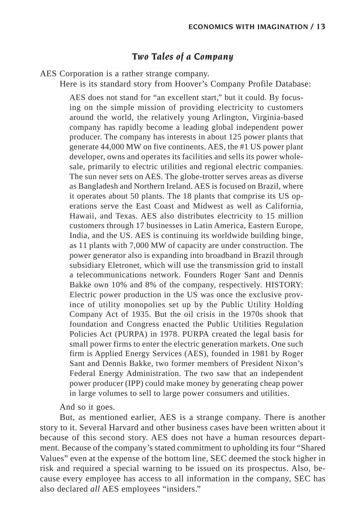# *Two Tales of a Company*

AES Corporation is a rather strange company.

Here is its standard story from Hoover's Company Profile Database:

AES does not stand for "an excellent start," but it could. By focusing on the simple mission of providing electricity to customers around the world, the relatively young Arlington, Virginia-based company has rapidly become a leading global independent power producer. The company has interests in about 125 power plants that generate 44,000 MW on five continents. AES, the #1 US power plant developer, owns and operates its facilities and sells its power wholesale, primarily to electric utilities and regional electric companies. The sun never sets on AES. The globe-trotter serves areas as diverse as Bangladesh and Northern Ireland. AES is focused on Brazil, where it operates about 50 plants. The 18 plants that comprise its US operations serve the East Coast and Midwest as well as California, Hawaii, and Texas. AES also distributes electricity to 15 million customers through 17 businesses in Latin America, Eastern Europe, India, and the US. AES is continuing its worldwide building binge, as 11 plants with 7,000 MW of capacity are under construction. The power generator also is expanding into broadband in Brazil through subsidiary Eletronet, which will use the transmission grid to install a telecommunications network. Founders Roger Sant and Dennis Bakke own 10% and 8% of the company, respectively. HISTORY: Electric power production in the US was once the exclusive province of utility monopolies set up by the Public Utility Holding Company Act of 1935. But the oil crisis in the 1970s shook that foundation and Congress enacted the Public Utilities Regulation Policies Act (PURPA) in 1978. PURPA created the legal basis for small power firms to enter the electric generation markets. One such firm is Applied Energy Services (AES), founded in 1981 by Roger Sant and Dennis Bakke, two former members of President Nixon's Federal Energy Administration. The two saw that an independent power producer (IPP) could make money by generating cheap power in large volumes to sell to large power consumers and utilities.

And so it goes.

But, as mentioned earlier, AES is a strange company. There is another story to it. Several Harvard and other business cases have been written about it because of this second story. AES does not have a human resources department. Because of the company's stated commitment to upholding its four "Shared Values" even at the expense of the bottom line, SEC deemed the stock higher in risk and required a special warning to be issued on its prospectus. Also, because every employee has access to all information in the company, SEC has also declared *all* AES employees "insiders."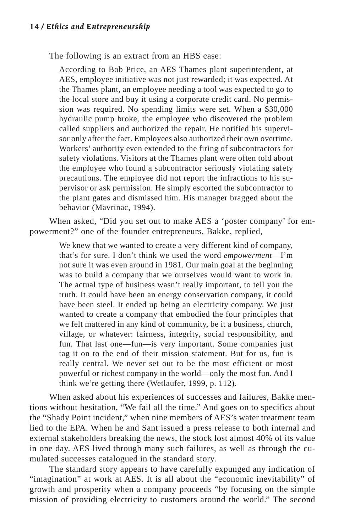The following is an extract from an HBS case:

According to Bob Price, an AES Thames plant superintendent, at AES, employee initiative was not just rewarded; it was expected. At the Thames plant, an employee needing a tool was expected to go to the local store and buy it using a corporate credit card. No permission was required. No spending limits were set. When a \$30,000 hydraulic pump broke, the employee who discovered the problem called suppliers and authorized the repair. He notified his supervisor only after the fact. Employees also authorized their own overtime. Workers' authority even extended to the firing of subcontractors for safety violations. Visitors at the Thames plant were often told about the employee who found a subcontractor seriously violating safety precautions. The employee did not report the infractions to his supervisor or ask permission. He simply escorted the subcontractor to the plant gates and dismissed him. His manager bragged about the behavior (Mavrinac, 1994).

When asked, "Did you set out to make AES a 'poster company' for empowerment?" one of the founder entrepreneurs, Bakke, replied,

> We knew that we wanted to create a very different kind of company, that's for sure. I don't think we used the word *empowerment*—I'm not sure it was even around in 1981. Our main goal at the beginning was to build a company that we ourselves would want to work in. The actual type of business wasn't really important, to tell you the truth. It could have been an energy conservation company, it could have been steel. It ended up being an electricity company. We just wanted to create a company that embodied the four principles that we felt mattered in any kind of community, be it a business, church, village, or whatever: fairness, integrity, social responsibility, and fun. That last one—fun—is very important. Some companies just tag it on to the end of their mission statement. But for us, fun is really central. We never set out to be the most efficient or most powerful or richest company in the world—only the most fun. And I think we're getting there (Wetlaufer, 1999, p. 112).

When asked about his experiences of successes and failures, Bakke mentions without hesitation, "We fail all the time." And goes on to specifics about the "Shady Point incident," when nine members of AES's water treatment team lied to the EPA. When he and Sant issued a press release to both internal and external stakeholders breaking the news, the stock lost almost 40% of its value in one day. AES lived through many such failures, as well as through the cumulated successes catalogued in the standard story.

The standard story appears to have carefully expunged any indication of "imagination" at work at AES. It is all about the "economic inevitability" of growth and prosperity when a company proceeds "by focusing on the simple mission of providing electricity to customers around the world." The second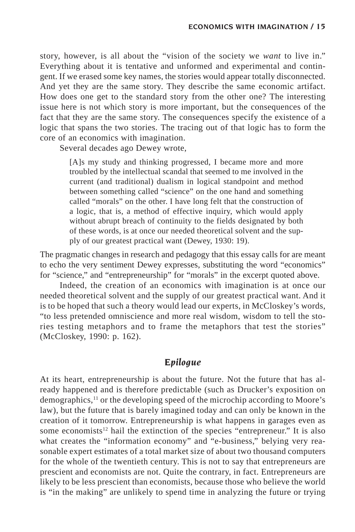story, however, is all about the "vision of the society we *want* to live in." Everything about it is tentative and unformed and experimental and contingent. If we erased some key names, the stories would appear totally disconnected. And yet they are the same story. They describe the same economic artifact. How does one get to the standard story from the other one? The interesting issue here is not which story is more important, but the consequences of the fact that they are the same story. The consequences specify the existence of a logic that spans the two stories. The tracing out of that logic has to form the core of an economics with imagination.

Several decades ago Dewey wrote,

[A]s my study and thinking progressed, I became more and more troubled by the intellectual scandal that seemed to me involved in the current (and traditional) dualism in logical standpoint and method between something called "science" on the one hand and something called "morals" on the other. I have long felt that the construction of a logic, that is, a method of effective inquiry, which would apply without abrupt breach of continuity to the fields designated by both of these words, is at once our needed theoretical solvent and the supply of our greatest practical want (Dewey, 1930: 19).

The pragmatic changes in research and pedagogy that this essay calls for are meant to echo the very sentiment Dewey expresses, substituting the word "economics" for "science," and "entrepreneurship" for "morals" in the excerpt quoted above.

Indeed, the creation of an economics with imagination is at once our needed theoretical solvent and the supply of our greatest practical want. And it is to be hoped that such a theory would lead our experts, in McCloskey's words, "to less pretended omniscience and more real wisdom, wisdom to tell the stories testing metaphors and to frame the metaphors that test the stories" (McCloskey, 1990: p. 162).

### *Epilogue*

At its heart, entrepreneurship is about the future. Not the future that has already happened and is therefore predictable (such as Drucker's exposition on demographics,11 or the developing speed of the microchip according to Moore's law), but the future that is barely imagined today and can only be known in the creation of it tomorrow. Entrepreneurship is what happens in garages even as some economists<sup>12</sup> hail the extinction of the species "entrepreneur." It is also what creates the "information economy" and "e-business," belying very reasonable expert estimates of a total market size of about two thousand computers for the whole of the twentieth century. This is not to say that entrepreneurs are prescient and economists are not. Quite the contrary, in fact. Entrepreneurs are likely to be less prescient than economists, because those who believe the world is "in the making" are unlikely to spend time in analyzing the future or trying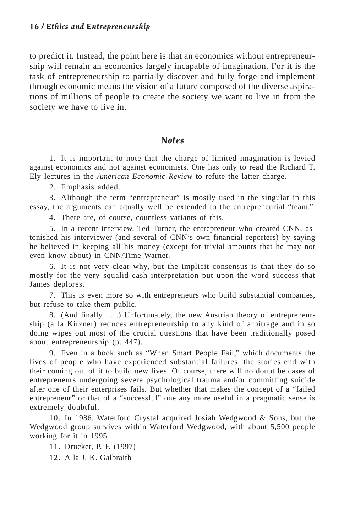to predict it. Instead, the point here is that an economics without entrepreneurship will remain an economics largely incapable of imagination. For it is the task of entrepreneurship to partially discover and fully forge and implement through economic means the vision of a future composed of the diverse aspirations of millions of people to create the society we want to live in from the society we have to live in.

#### *Notes*

1. It is important to note that the charge of limited imagination is levied against economics and not against economists. One has only to read the Richard T. Ely lectures in the *American Economic Review* to refute the latter charge.

2. Emphasis added.

3. Although the term "entrepreneur" is mostly used in the singular in this essay, the arguments can equally well be extended to the entrepreneurial "team."

4. There are, of course, countless variants of this.

5. In a recent interview, Ted Turner, the entrepreneur who created CNN, astonished his interviewer (and several of CNN's own financial reporters) by saying he believed in keeping all his money (except for trivial amounts that he may not even know about) in CNN/Time Warner.

6. It is not very clear why, but the implicit consensus is that they do so mostly for the very squalid cash interpretation put upon the word success that James deplores.

7. This is even more so with entrepreneurs who build substantial companies, but refuse to take them public.

8. (And finally . . .) Unfortunately, the new Austrian theory of entrepreneurship (a la Kirzner) reduces entrepreneurship to any kind of arbitrage and in so doing wipes out most of the crucial questions that have been traditionally posed about entrepreneurship (p. 447).

9. Even in a book such as "When Smart People Fail," which documents the lives of people who have experienced substantial failures, the stories end with their coming out of it to build new lives. Of course, there will no doubt be cases of entrepreneurs undergoing severe psychological trauma and/or committing suicide after one of their enterprises fails. But whether that makes the concept of a "failed entrepreneur" or that of a "successful" one any more useful in a pragmatic sense is extremely doubtful.

10. In 1986, Waterford Crystal acquired Josiah Wedgwood & Sons, but the Wedgwood group survives within Waterford Wedgwood, with about 5,500 people working for it in 1995.

11. Drucker, P. F. (1997)

12. A la J. K. Galbraith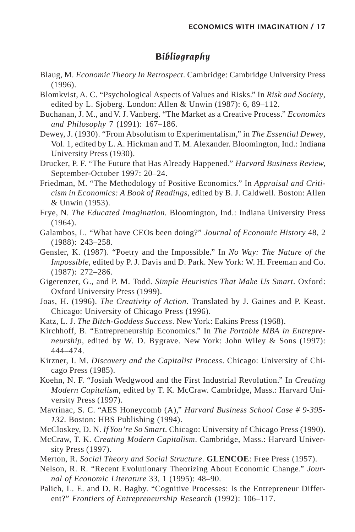### *Bibliography*

- Blaug, M. *Economic Theory In Retrospect.* Cambridge: Cambridge University Press (1996).
- Blomkvist, A. C. "Psychological Aspects of Values and Risks." In *Risk and Society*, edited by L. Sjoberg. London: Allen & Unwin (1987): 6, 89–112.
- Buchanan, J. M., and V. J. Vanberg. "The Market as a Creative Process." *Economics and Philosophy* 7 (1991): 167–186.
- Dewey, J. (1930). "From Absolutism to Experimentalism," in *The Essential Dewey*, Vol. 1, edited by L. A. Hickman and T. M. Alexander. Bloomington, Ind.: Indiana University Press (1930).
- Drucker, P. F. "The Future that Has Already Happened." *Harvard Business Review,* September-October 1997: 20–24.
- Friedman, M. "The Methodology of Positive Economics." In *Appraisal and Criticism in Economics: A Book of Readings*, edited by B. J. Caldwell. Boston: Allen & Unwin (1953).
- Frye, N. *The Educated Imagination.* Bloomington, Ind.: Indiana University Press (1964).
- Galambos, L. "What have CEOs been doing?" *Journal of Economic History* 48, 2 (1988): 243–258.
- Gensler, K. (1987). "Poetry and the Impossible." In *No Way: The Nature of the Impossible*, edited by P. J. Davis and D. Park. New York: W. H. Freeman and Co. (1987): 272–286.
- Gigerenzer, G., and P. M. Todd. *Simple Heuristics That Make Us Smart*. Oxford: Oxford University Press (1999).
- Joas, H. (1996). *The Creativity of Action*. Translated by J. Gaines and P. Keast. Chicago: University of Chicago Press (1996).
- Katz, L. J. *The Bitch-Goddess Success*. New York: Eakins Press (1968).
- Kirchhoff, B. "Entrepreneurship Economics." In *The Portable MBA in Entrepreneurship*, edited by W. D. Bygrave. New York: John Wiley & Sons (1997): 444–474.
- Kirzner, I. M. *Discovery and the Capitalist Process*. Chicago: University of Chicago Press (1985).
- Koehn, N. F. "Josiah Wedgwood and the First Industrial Revolution." In *Creating Modern Capitalism*, edited by T. K. McCraw. Cambridge, Mass.: Harvard University Press (1997).
- Mavrinac, S. C. "AES Honeycomb (A)," *Harvard Business School Case # 9-395- 132*. Boston: HBS Publishing (1994).
- McCloskey, D. N. *If You're So Smart*. Chicago: University of Chicago Press (1990).
- McCraw, T. K. *Creating Modern Capitalism*. Cambridge, Mass.: Harvard University Press (1997).
- Merton, R. *Social Theory and Social Structure*. **GLENCOE**: Free Press (1957).
- Nelson, R. R. "Recent Evolutionary Theorizing About Economic Change." *Journal of Economic Literature* 33, 1 (1995): 48–90.
- Palich, L. E. and D. R. Bagby. "Cognitive Processes: Is the Entrepreneur Different?" *Frontiers of Entrepreneurship Research* (1992): 106–117.